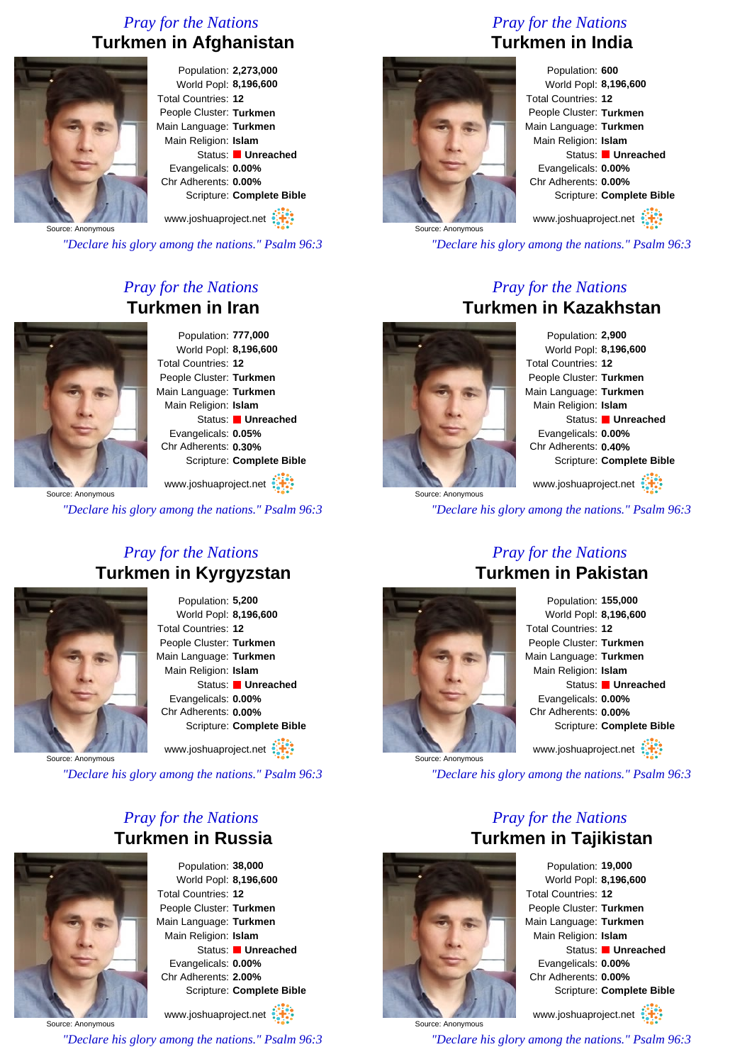## *Pray for the Nations* **Turkmen in Afghanistan**



Population: **2,273,000** World Popl: **8,196,600** Total Countries: **12** People Cluster: **Turkmen** Main Language: **Turkmen** Main Religion: **Islam** Status: **Unreached** Evangelicals: **0.00%** Chr Adherents: **0.00%** Scripture: **Complete Bible**

www.joshuaproject.net

*"Declare his glory among the nations." Psalm 96:3*

### *Pray for the Nations* **Turkmen in Iran**



Population: **777,000** World Popl: **8,196,600** Total Countries: **12** People Cluster: **Turkmen** Main Language: **Turkmen** Main Religion: **Islam** Status: **Unreached** Evangelicals: **0.05%** Chr Adherents: **0.30%** Scripture: **Complete Bible**

Source: Anonymous www.joshuaproject.net :

*"Declare his glory among the nations." Psalm 96:3*

#### *Pray for the Nations* **Turkmen in Kyrgyzstan**



Population: **5,200** World Popl: **8,196,600** Total Countries: **12** People Cluster: **Turkmen** Main Language: **Turkmen** Main Religion: **Islam** Status: **Unreached** Evangelicals: **0.00%** Chr Adherents: **0.00%** Scripture: **Complete Bible**

www.joshuaproject.net

Source: Anonymous

*"Declare his glory among the nations." Psalm 96:3*

#### *Pray for the Nations* **Turkmen in Russia**



Population: **38,000** World Popl: **8,196,600** Total Countries: **12** People Cluster: **Turkmen** Main Language: **Turkmen** Main Religion: **Islam** Status: **Unreached** Evangelicals: **0.00%** Chr Adherents: **2.00%** Scripture: **Complete Bible**

Source: Anonymous www.joshuaproject.net *"Declare his glory among the nations." Psalm 96:3*

# *Pray for the Nations* **Turkmen in India**



Population: **600** World Popl: **8,196,600** Total Countries: **12** People Cluster: **Turkmen** Main Language: **Turkmen** Main Religion: **Islam** Status: **Unreached** Evangelicals: **0.00%** Chr Adherents: **0.00%** Scripture: **Complete Bible** www.joshuaproject.net

*"Declare his glory among the nations." Psalm 96:3*

#### *Pray for the Nations* **Turkmen in Kazakhstan**



Population: **2,900** World Popl: **8,196,600** Total Countries: **12** People Cluster: **Turkmen** Main Language: **Turkmen** Main Religion: **Islam** Status: **Unreached** Evangelicals: **0.00%** Chr Adherents: **0.40%** Scripture: **Complete Bible** www.joshuaproject.net

*"Declare his glory among the nations." Psalm 96:3*

#### *Pray for the Nations* **Turkmen in Pakistan**



Population: **155,000** World Popl: **8,196,600** Total Countries: **12** People Cluster: **Turkmen** Main Language: **Turkmen** Main Religion: **Islam** Status: **Unreached** Evangelicals: **0.00%** Chr Adherents: **0.00%** Scripture: **Complete Bible** www.joshuaproject.net

*"Declare his glory among the nations." Psalm 96:3*

### *Pray for the Nations* **Turkmen in Tajikistan**



Source: Anonymous

Population: **19,000** World Popl: **8,196,600** Total Countries: **12** People Cluster: **Turkmen** Main Language: **Turkmen** Main Religion: **Islam** Status: **Unreached** Evangelicals: **0.00%** Chr Adherents: **0.00%** Scripture: **Complete Bible**

www.joshuaproject.net

*"Declare his glory among the nations." Psalm 96:3*